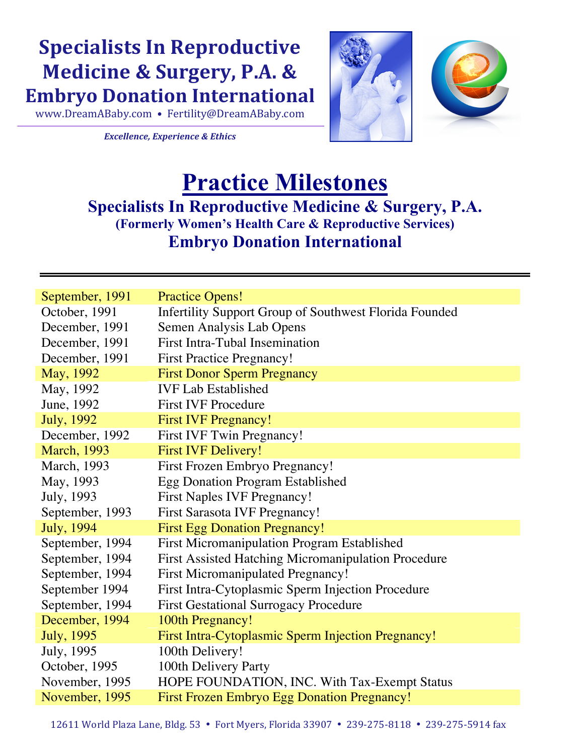## **Specialists In Reproductive Medicine & Surgery, P.A. & Embryo Donation International**

www.DreamABaby.com • Fertility@DreamABaby.com

**Excellence, Experience & Ethics** 



## **Practice Milestones Specialists In Reproductive Medicine & Surgery, P.A. (Formerly Women's Health Care & Reproductive Services) Embryo Donation International**

| September, 1991     | <b>Practice Opens!</b>                                        |
|---------------------|---------------------------------------------------------------|
| October, 1991       | <b>Infertility Support Group of Southwest Florida Founded</b> |
| December, 1991      | Semen Analysis Lab Opens                                      |
| December, 1991      | <b>First Intra-Tubal Insemination</b>                         |
| December, 1991      | <b>First Practice Pregnancy!</b>                              |
| May, 1992           | <b>First Donor Sperm Pregnancy</b>                            |
| May, 1992           | <b>IVF Lab Established</b>                                    |
| June, 1992          | <b>First IVF Procedure</b>                                    |
| <b>July</b> , 1992  | <b>First IVF Pregnancy!</b>                                   |
| December, 1992      | <b>First IVF Twin Pregnancy!</b>                              |
| <b>March</b> , 1993 | <b>First IVF Delivery!</b>                                    |
| <b>March</b> , 1993 | First Frozen Embryo Pregnancy!                                |
| May, 1993           | <b>Egg Donation Program Established</b>                       |
| July, 1993          | <b>First Naples IVF Pregnancy!</b>                            |
| September, 1993     | <b>First Sarasota IVF Pregnancy!</b>                          |
| <b>July</b> , 1994  | <b>First Egg Donation Pregnancy!</b>                          |
| September, 1994     | <b>First Micromanipulation Program Established</b>            |
| September, 1994     | <b>First Assisted Hatching Micromanipulation Procedure</b>    |
| September, 1994     | <b>First Micromanipulated Pregnancy!</b>                      |
| September 1994      | First Intra-Cytoplasmic Sperm Injection Procedure             |
| September, 1994     | <b>First Gestational Surrogacy Procedure</b>                  |
| December, 1994      | 100th Pregnancy!                                              |
| <b>July</b> , 1995  | First Intra-Cytoplasmic Sperm Injection Pregnancy!            |
| July, 1995          | 100th Delivery!                                               |
| October, 1995       | 100th Delivery Party                                          |
| November, 1995      | HOPE FOUNDATION, INC. With Tax-Exempt Status                  |
| November, 1995      | <b>First Frozen Embryo Egg Donation Pregnancy!</b>            |